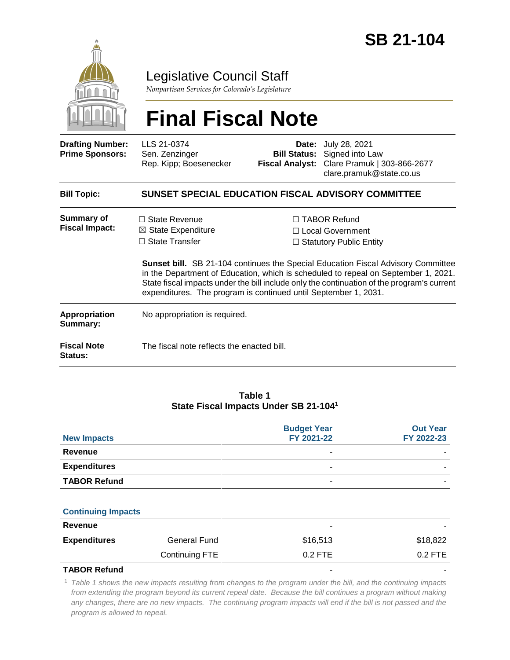

## Legislative Council Staff

*Nonpartisan Services for Colorado's Legislature*

# **Final Fiscal Note**

| <b>Drafting Number:</b><br><b>Prime Sponsors:</b> | LLS 21-0374<br>Sen. Zenzinger<br>Rep. Kipp; Boesenecker                        | Date:<br><b>Bill Status:</b><br><b>Fiscal Analyst:</b> | July 28, 2021<br>Signed into Law<br>Clare Pramuk   303-866-2677<br>clare.pramuk@state.co.us                                                                                                                                                                                                                                                                                                                       |  |  |  |
|---------------------------------------------------|--------------------------------------------------------------------------------|--------------------------------------------------------|-------------------------------------------------------------------------------------------------------------------------------------------------------------------------------------------------------------------------------------------------------------------------------------------------------------------------------------------------------------------------------------------------------------------|--|--|--|
| <b>Bill Topic:</b>                                | <b>SUNSET SPECIAL EDUCATION FISCAL ADVISORY COMMITTEE</b>                      |                                                        |                                                                                                                                                                                                                                                                                                                                                                                                                   |  |  |  |
| <b>Summary of</b><br><b>Fiscal Impact:</b>        | $\Box$ State Revenue<br>$\boxtimes$ State Expenditure<br>$\Box$ State Transfer |                                                        | □ TABOR Refund<br>□ Local Government<br>$\Box$ Statutory Public Entity<br>Sunset bill. SB 21-104 continues the Special Education Fiscal Advisory Committee<br>in the Department of Education, which is scheduled to repeal on September 1, 2021.<br>State fiscal impacts under the bill include only the continuation of the program's current<br>expenditures. The program is continued until September 1, 2031. |  |  |  |
| <b>Appropriation</b><br>Summary:                  | No appropriation is required.                                                  |                                                        |                                                                                                                                                                                                                                                                                                                                                                                                                   |  |  |  |
| <b>Fiscal Note</b><br><b>Status:</b>              | The fiscal note reflects the enacted bill.                                     |                                                        |                                                                                                                                                                                                                                                                                                                                                                                                                   |  |  |  |

#### **Table 1 State Fiscal Impacts Under SB 21-104<sup>1</sup>**

| <b>New Impacts</b>        |                     | <b>Budget Year</b><br>FY 2021-22 | <b>Out Year</b><br>FY 2022-23 |
|---------------------------|---------------------|----------------------------------|-------------------------------|
| <b>Revenue</b>            |                     |                                  |                               |
| <b>Expenditures</b>       |                     |                                  |                               |
| <b>TABOR Refund</b>       |                     |                                  |                               |
| <b>Continuing Impacts</b> |                     |                                  |                               |
| <b>Revenue</b>            |                     | ۰                                |                               |
| <b>Expenditures</b>       | <b>General Fund</b> | \$16,513                         | \$18,822                      |

## **TABOR Refund** that the state of the state of the state of the state of the state of the state of the state of the state of the state of the state of the state of the state of the state of the state of the state of the sta

<sup>1</sup> *Table 1 shows the new impacts resulting from changes to the program under the bill, and the continuing impacts from extending the program beyond its current repeal date. Because the bill continues a program without making* any changes, there are no new impacts. The continuing program impacts will end if the bill is not passed and the *program is allowed to repeal.*

Continuing FTE 0.2 FTE 0.2 FTE 0.2 FTE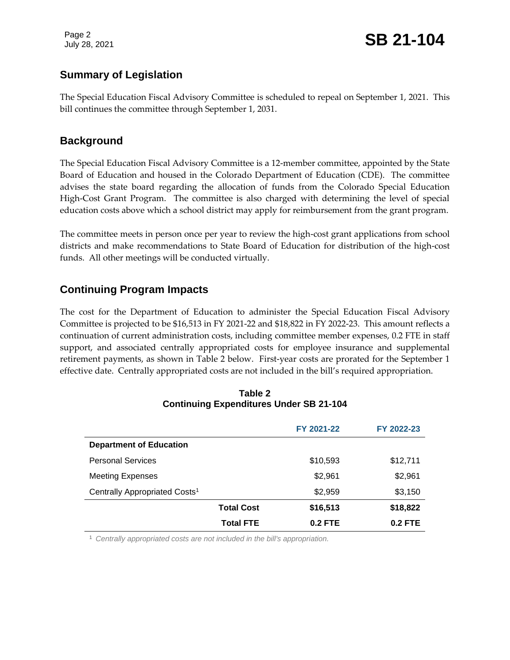Page 2

### **Summary of Legislation**

The Special Education Fiscal Advisory Committee is scheduled to repeal on September 1, 2021. This bill continues the committee through September 1, 2031.

#### **Background**

The Special Education Fiscal Advisory Committee is a 12-member committee, appointed by the State Board of Education and housed in the Colorado Department of Education (CDE). The committee advises the state board regarding the allocation of funds from the Colorado Special Education High-Cost Grant Program. The committee is also charged with determining the level of special education costs above which a school district may apply for reimbursement from the grant program.

The committee meets in person once per year to review the high-cost grant applications from school districts and make recommendations to State Board of Education for distribution of the high-cost funds. All other meetings will be conducted virtually.

## **Continuing Program Impacts**

The cost for the Department of Education to administer the Special Education Fiscal Advisory Committee is projected to be \$16,513 in FY 2021-22 and \$18,822 in FY 2022-23. This amount reflects a continuation of current administration costs, including committee member expenses, 0.2 FTE in staff support, and associated centrally appropriated costs for employee insurance and supplemental retirement payments, as shown in Table 2 below. First-year costs are prorated for the September 1 effective date. Centrally appropriated costs are not included in the bill's required appropriation.

|                                           |                   | FY 2021-22     | FY 2022-23 |
|-------------------------------------------|-------------------|----------------|------------|
| <b>Department of Education</b>            |                   |                |            |
| <b>Personal Services</b>                  |                   | \$10,593       | \$12,711   |
| <b>Meeting Expenses</b>                   |                   | \$2,961        | \$2,961    |
| Centrally Appropriated Costs <sup>1</sup> |                   | \$2,959        | \$3,150    |
|                                           | <b>Total Cost</b> | \$16,513       | \$18,822   |
|                                           | <b>Total FTE</b>  | <b>0.2 FTE</b> | 0.2 FTE    |

#### **Table 2 Continuing Expenditures Under SB 21-104**

<sup>1</sup> *Centrally appropriated costs are not included in the bill's appropriation.*